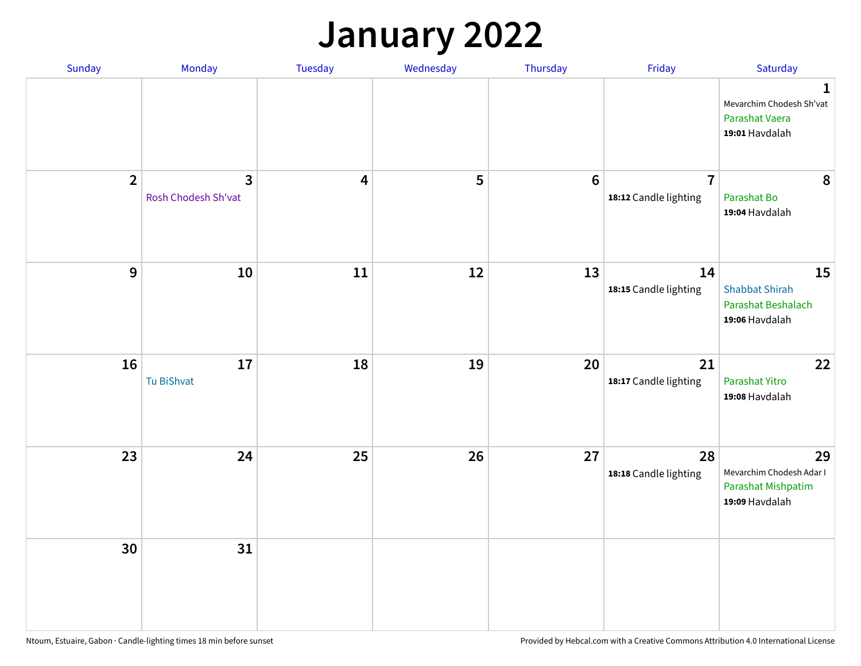## **January 2022**

| Sunday         | Monday                   | Tuesday                 | Wednesday | Thursday         | Friday                                  | Saturday                                                                     |
|----------------|--------------------------|-------------------------|-----------|------------------|-----------------------------------------|------------------------------------------------------------------------------|
|                |                          |                         |           |                  |                                         | $\mathbf{1}$<br>Mevarchim Chodesh Sh'vat<br>Parashat Vaera<br>19:01 Havdalah |
| $\overline{2}$ | 3<br>Rosh Chodesh Sh'vat | $\overline{\mathbf{4}}$ | 5         | $\boldsymbol{6}$ | $\overline{7}$<br>18:12 Candle lighting | 8<br>Parashat Bo<br>19:04 Havdalah                                           |
| $\mathbf 9$    | 10                       | ${\bf 11}$              | 12        | 13               | 14<br>18:15 Candle lighting             | 15<br><b>Shabbat Shirah</b><br>Parashat Beshalach<br>19:06 Havdalah          |
| 16             | 17<br>Tu BiShvat         | 18                      | 19        | 20               | 21<br>18:17 Candle lighting             | 22<br>Parashat Yitro<br>19:08 Havdalah                                       |
| 23             | 24                       | 25                      | 26        | 27               | 28<br>18:18 Candle lighting             | 29<br>Mevarchim Chodesh Adar I<br>Parashat Mishpatim<br>19:09 Havdalah       |
| 30             | 31                       |                         |           |                  |                                         |                                                                              |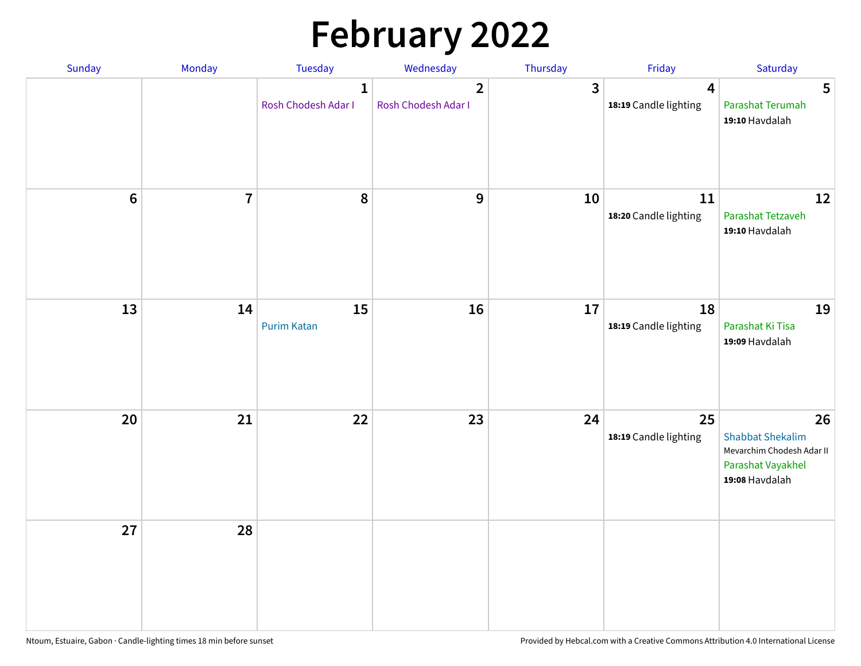# **February 2022**

| Sunday           | Monday         | Tuesday                             | Wednesday                             | Thursday | Friday                                           | Saturday                                                                                          |
|------------------|----------------|-------------------------------------|---------------------------------------|----------|--------------------------------------------------|---------------------------------------------------------------------------------------------------|
|                  |                | $\mathbf{1}$<br>Rosh Chodesh Adar I | $\overline{2}$<br>Rosh Chodesh Adar I | 3        | $\overline{\mathbf{4}}$<br>18:19 Candle lighting | $5\phantom{.0}$<br>Parashat Terumah<br>19:10 Havdalah                                             |
| $\boldsymbol{6}$ | $\overline{7}$ | 8                                   | $\boldsymbol{9}$                      | 10       | 11<br>18:20 Candle lighting                      | 12<br>Parashat Tetzaveh<br>19:10 Havdalah                                                         |
| 13               | 14             | 15<br><b>Purim Katan</b>            | 16                                    | 17       | 18<br>18:19 Candle lighting                      | 19<br>Parashat Ki Tisa<br>19:09 Havdalah                                                          |
| 20               | 21             | 22                                  | 23                                    | 24       | 25<br>18:19 Candle lighting                      | 26<br><b>Shabbat Shekalim</b><br>Mevarchim Chodesh Adar II<br>Parashat Vayakhel<br>19:08 Havdalah |
| 27               | 28             |                                     |                                       |          |                                                  |                                                                                                   |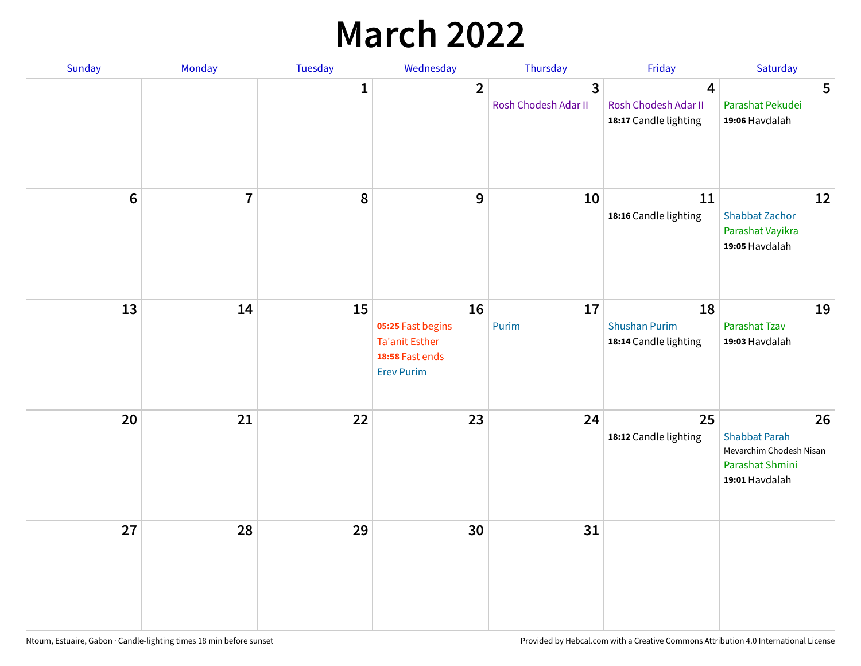## **March 2022**

| Sunday | Monday         | <b>Tuesday</b> | Wednesday                                                                                | Thursday                  | Friday                                                                   | Saturday                                                                                   |
|--------|----------------|----------------|------------------------------------------------------------------------------------------|---------------------------|--------------------------------------------------------------------------|--------------------------------------------------------------------------------------------|
|        |                | $\mathbf{1}$   | $\overline{\mathbf{2}}$                                                                  | 3<br>Rosh Chodesh Adar II | $\overline{\mathbf{4}}$<br>Rosh Chodesh Adar II<br>18:17 Candle lighting | 5<br>Parashat Pekudei<br>19:06 Havdalah                                                    |
| $6\,$  | $\overline{7}$ | 8              | 9                                                                                        | 10                        | 11<br>18:16 Candle lighting                                              | 12<br><b>Shabbat Zachor</b><br>Parashat Vayikra<br>19:05 Havdalah                          |
| 13     | 14             | 15             | 16<br>05:25 Fast begins<br><b>Ta'anit Esther</b><br>18:58 Fast ends<br><b>Erev Purim</b> | 17<br>Purim               | 18<br><b>Shushan Purim</b><br>18:14 Candle lighting                      | 19<br>Parashat Tzav<br>19:03 Havdalah                                                      |
| 20     | 21             | 22             | 23                                                                                       | 24                        | 25<br>18:12 Candle lighting                                              | 26<br><b>Shabbat Parah</b><br>Mevarchim Chodesh Nisan<br>Parashat Shmini<br>19:01 Havdalah |
| 27     | 28             | 29             | 30                                                                                       | 31                        |                                                                          |                                                                                            |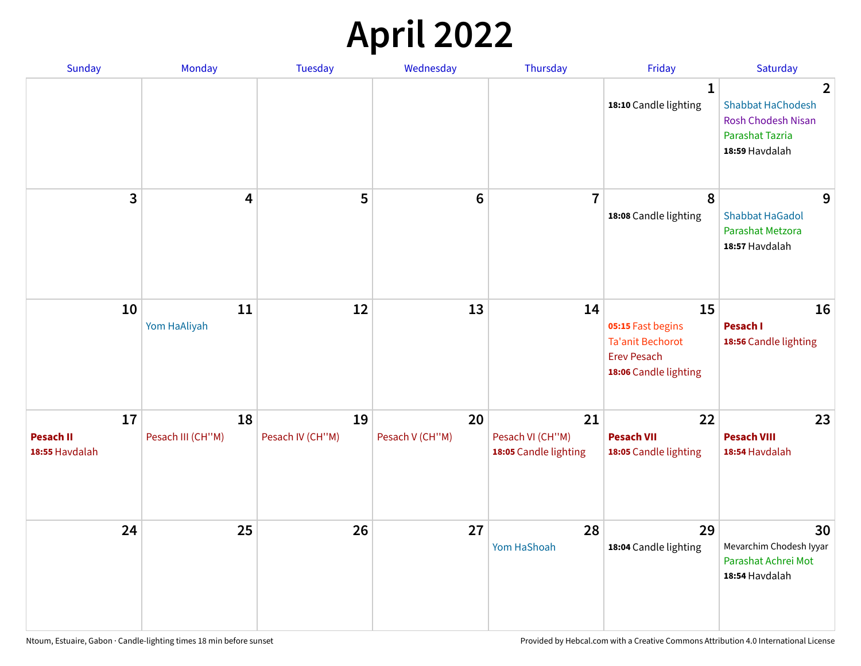## **April 2022**

| <b>Sunday</b>                            | Monday                  | <b>Tuesday</b>         | Wednesday             | Thursday                                        | Friday                                                                                            | Saturday                                                                                                            |
|------------------------------------------|-------------------------|------------------------|-----------------------|-------------------------------------------------|---------------------------------------------------------------------------------------------------|---------------------------------------------------------------------------------------------------------------------|
|                                          |                         |                        |                       |                                                 | $\mathbf{1}$<br>18:10 Candle lighting                                                             | $\overline{2}$<br><b>Shabbat HaChodesh</b><br><b>Rosh Chodesh Nisan</b><br><b>Parashat Tazria</b><br>18:59 Havdalah |
| 3                                        | 4                       | 5                      | $6\phantom{1}$        | $\overline{7}$                                  | 8<br>18:08 Candle lighting                                                                        | 9<br><b>Shabbat HaGadol</b><br>Parashat Metzora<br>18:57 Havdalah                                                   |
| 10                                       | 11<br>Yom HaAliyah      | 12                     | 13                    | 14                                              | 15<br>05:15 Fast begins<br><b>Ta'anit Bechorot</b><br><b>Erev Pesach</b><br>18:06 Candle lighting | 16<br>Pesach I<br>18:56 Candle lighting                                                                             |
| 17<br><b>Pesach II</b><br>18:55 Havdalah | 18<br>Pesach III (CH"M) | 19<br>Pesach IV (CH"M) | 20<br>Pesach V (CH"M) | 21<br>Pesach VI (CH"M)<br>18:05 Candle lighting | 22<br><b>Pesach VII</b><br>18:05 Candle lighting                                                  | 23<br><b>Pesach VIII</b><br>18:54 Havdalah                                                                          |
| 24                                       | 25                      | 26                     | 27                    | 28<br>Yom HaShoah                               | 29<br>18:04 Candle lighting                                                                       | 30<br>Mevarchim Chodesh Iyyar<br>Parashat Achrei Mot<br>18:54 Havdalah                                              |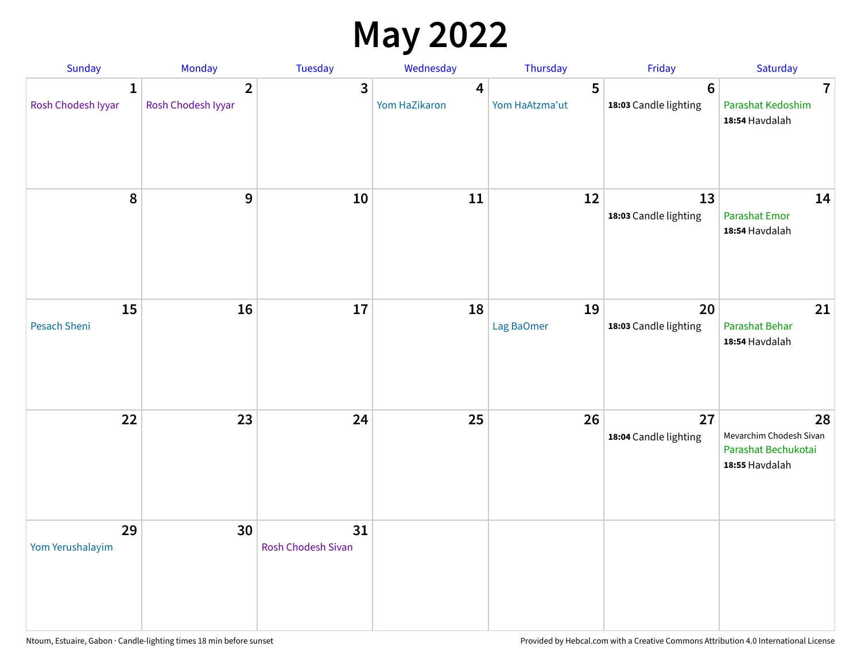## **May 2022**

| Sunday                             | Monday                               | Tuesday                         | Wednesday          | Thursday            | Friday                                   | Saturday                                                               |
|------------------------------------|--------------------------------------|---------------------------------|--------------------|---------------------|------------------------------------------|------------------------------------------------------------------------|
| $\mathbf{1}$<br>Rosh Chodesh Iyyar | $\overline{2}$<br>Rosh Chodesh Iyyar | 3                               | 4<br>Yom HaZikaron | 5<br>Yom HaAtzma'ut | $6\phantom{1}6$<br>18:03 Candle lighting | $\overline{7}$<br>Parashat Kedoshim<br>18:54 Havdalah                  |
| $\pmb{8}$                          | $\mathbf{9}$                         | 10                              | 11                 | 12                  | 13<br>18:03 Candle lighting              | 14<br><b>Parashat Emor</b><br>18:54 Havdalah                           |
| 15<br>Pesach Sheni                 | 16                                   | 17                              | 18                 | 19<br>Lag BaOmer    | 20<br>18:03 Candle lighting              | 21<br>Parashat Behar<br>18:54 Havdalah                                 |
| 22                                 | 23                                   | 24                              | 25                 | 26                  | 27<br>18:04 Candle lighting              | 28<br>Mevarchim Chodesh Sivan<br>Parashat Bechukotai<br>18:55 Havdalah |
| 29<br>Yom Yerushalayim             | 30                                   | 31<br><b>Rosh Chodesh Sivan</b> |                    |                     |                                          |                                                                        |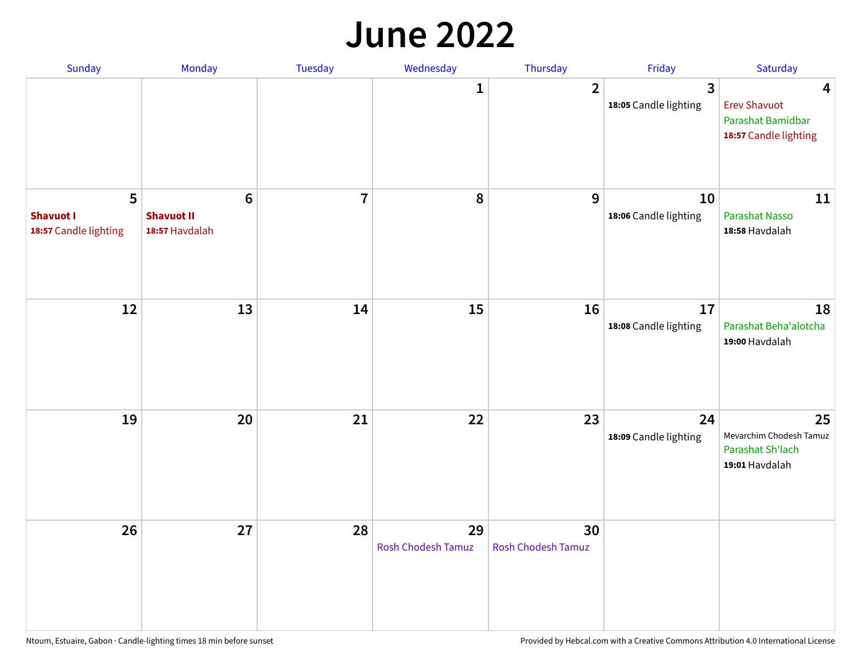#### **June 2022**

| Sunday                                         | Monday                                                 | Tuesday        | Wednesday                       | Thursday                        | Friday                      | Saturday                                                               |
|------------------------------------------------|--------------------------------------------------------|----------------|---------------------------------|---------------------------------|-----------------------------|------------------------------------------------------------------------|
|                                                |                                                        |                | 1                               | $\overline{2}$                  | 3<br>18:05 Candle lighting  | 4<br><b>Erev Shavuot</b><br>Parashat Bamidbar<br>18:57 Candle lighting |
| 5<br><b>Shavuot I</b><br>18:57 Candle lighting | $6\phantom{1}6$<br><b>Shavuot II</b><br>18:57 Havdalah | $\overline{7}$ | 8                               | 9                               | 10<br>18:06 Candle lighting | 11<br><b>Parashat Nasso</b><br>18:58 Havdalah                          |
| 12                                             | 13                                                     | 14             | 15                              | 16                              | 17<br>18:08 Candle lighting | 18<br>Parashat Beha'alotcha<br>19:00 Havdalah                          |
| 19                                             | 20                                                     | 21             | 22                              | 23                              | 24<br>18:09 Candle lighting | 25<br>Mevarchim Chodesh Tamuz<br>Parashat Sh'lach<br>19:01 Havdalah    |
| 26                                             | 27                                                     | 28             | 29<br><b>Rosh Chodesh Tamuz</b> | 30<br><b>Rosh Chodesh Tamuz</b> |                             |                                                                        |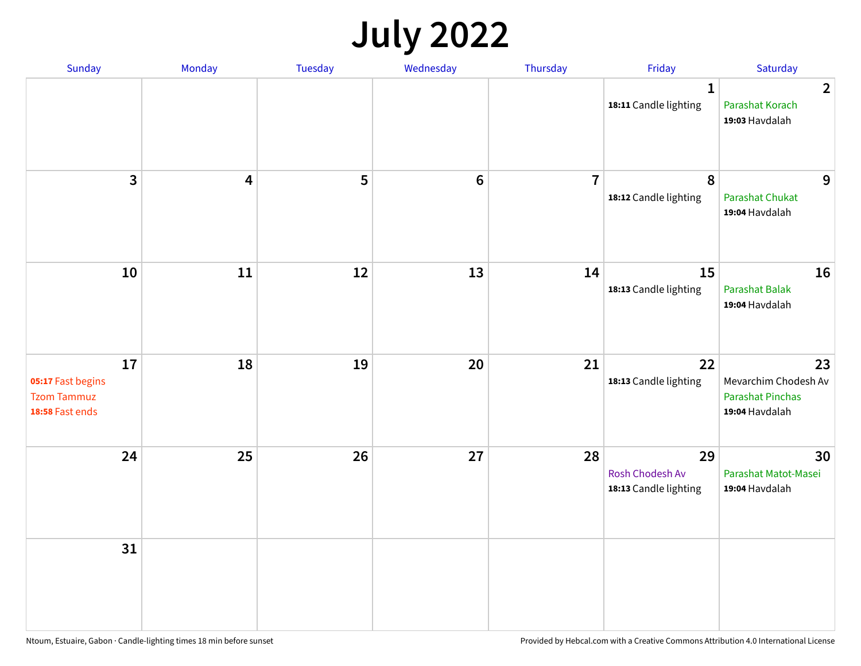## **July 2022**

| Sunday                                                           | Monday                  | Tuesday | Wednesday | Thursday       | Friday                                         | Saturday                                                                |
|------------------------------------------------------------------|-------------------------|---------|-----------|----------------|------------------------------------------------|-------------------------------------------------------------------------|
|                                                                  |                         |         |           |                | $\mathbf{1}$<br>18:11 Candle lighting          | $\overline{2}$<br>Parashat Korach<br>19:03 Havdalah                     |
| $\overline{\mathbf{3}}$                                          | $\overline{\mathbf{4}}$ | 5       | $\bf 6$   | $\overline{7}$ | 8<br>18:12 Candle lighting                     | 9<br>Parashat Chukat<br>19:04 Havdalah                                  |
| 10                                                               | 11                      | 12      | 13        | 14             | 15<br>18:13 Candle lighting                    | 16<br>Parashat Balak<br>19:04 Havdalah                                  |
| 17<br>05:17 Fast begins<br><b>Tzom Tammuz</b><br>18:58 Fast ends | 18                      | 19      | 20        | 21             | 22<br>18:13 Candle lighting                    | 23<br>Mevarchim Chodesh Av<br><b>Parashat Pinchas</b><br>19:04 Havdalah |
| 24                                                               | 25                      | 26      | 27        | 28             | 29<br>Rosh Chodesh Av<br>18:13 Candle lighting | 30<br>Parashat Matot-Masei<br>19:04 Havdalah                            |
| 31                                                               |                         |         |           |                |                                                |                                                                         |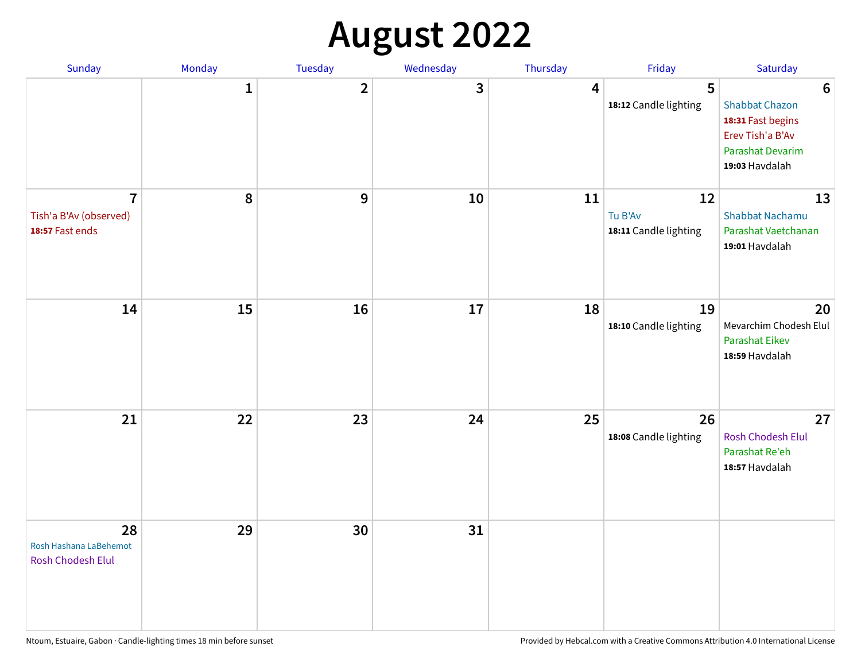## **August 2022**

| Sunday                                                      | Monday       | Tuesday                 | Wednesday | Thursday | Friday                                 | Saturday                                                                                                                       |
|-------------------------------------------------------------|--------------|-------------------------|-----------|----------|----------------------------------------|--------------------------------------------------------------------------------------------------------------------------------|
|                                                             | $\mathbf{1}$ | $\overline{\mathbf{2}}$ | 3         | 4        | 5<br>18:12 Candle lighting             | $6\phantom{1}6$<br><b>Shabbat Chazon</b><br>18:31 Fast begins<br>Erev Tish'a B'Av<br><b>Parashat Devarim</b><br>19:03 Havdalah |
| $\overline{7}$<br>Tish'a B'Av (observed)<br>18:57 Fast ends | 8            | 9                       | 10        | 11       | 12<br>Tu B'Av<br>18:11 Candle lighting | 13<br>Shabbat Nachamu<br>Parashat Vaetchanan<br>19:01 Havdalah                                                                 |
| 14                                                          | 15           | 16                      | 17        | 18       | 19<br>18:10 Candle lighting            | 20<br>Mevarchim Chodesh Elul<br><b>Parashat Eikev</b><br>18:59 Havdalah                                                        |
| 21                                                          | 22           | 23                      | 24        | 25       | 26<br>18:08 Candle lighting            | 27<br><b>Rosh Chodesh Elul</b><br>Parashat Re'eh<br>18:57 Havdalah                                                             |
| 28<br>Rosh Hashana LaBehemot<br>Rosh Chodesh Elul           | 29           | 30                      | 31        |          |                                        |                                                                                                                                |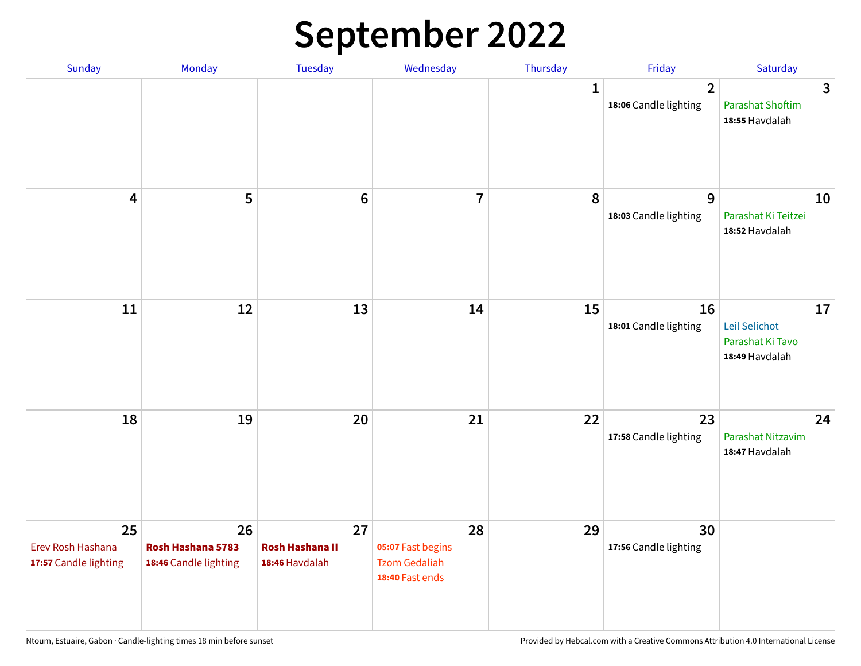## **September 2022**

| Sunday                                           | Monday                                           | Tuesday                                        | Wednesday                                                          | Thursday     | Friday                                  | Saturday                                                  |
|--------------------------------------------------|--------------------------------------------------|------------------------------------------------|--------------------------------------------------------------------|--------------|-----------------------------------------|-----------------------------------------------------------|
|                                                  |                                                  |                                                |                                                                    | $\mathbf{1}$ | $\overline{2}$<br>18:06 Candle lighting | 3<br><b>Parashat Shoftim</b><br>18:55 Havdalah            |
| $\overline{\mathbf{4}}$                          | 5                                                | $6\phantom{1}6$                                | $\overline{7}$                                                     | 8            | 9<br>18:03 Candle lighting              | 10<br>Parashat Ki Teitzei<br>18:52 Havdalah               |
| $11\,$                                           | 12                                               | 13                                             | 14                                                                 | 15           | 16<br>18:01 Candle lighting             | 17<br>Leil Selichot<br>Parashat Ki Tavo<br>18:49 Havdalah |
| 18                                               | 19                                               | 20                                             | 21                                                                 | 22           | 23<br>17:58 Candle lighting             | 24<br>Parashat Nitzavim<br>18:47 Havdalah                 |
| 25<br>Erev Rosh Hashana<br>17:57 Candle lighting | 26<br>Rosh Hashana 5783<br>18:46 Candle lighting | 27<br><b>Rosh Hashana II</b><br>18:46 Havdalah | 28<br>05:07 Fast begins<br><b>Tzom Gedaliah</b><br>18:40 Fast ends | 29           | 30<br>17:56 Candle lighting             |                                                           |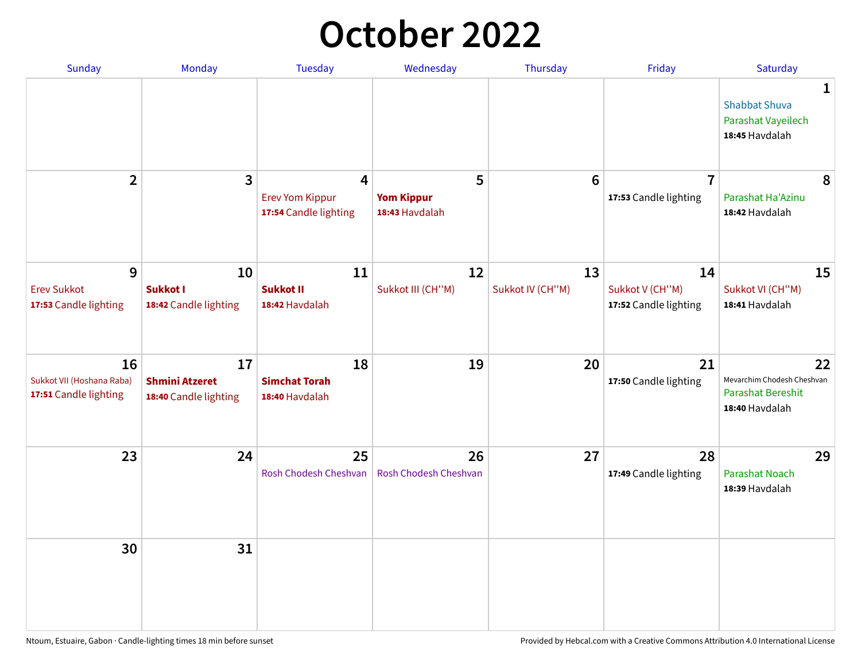## **October 2022**

| Sunday                                                   | Monday                                               | <b>Tuesday</b>                                                    | Wednesday                                | Thursday               | Friday                                         | Saturday                                                                |
|----------------------------------------------------------|------------------------------------------------------|-------------------------------------------------------------------|------------------------------------------|------------------------|------------------------------------------------|-------------------------------------------------------------------------|
|                                                          |                                                      |                                                                   |                                          |                        |                                                | 1<br><b>Shabbat Shuva</b><br>Parashat Vayeilech<br>18:45 Havdalah       |
| $\overline{2}$                                           | 3                                                    | $\overline{4}$<br><b>Erev Yom Kippur</b><br>17:54 Candle lighting | 5<br><b>Yom Kippur</b><br>18:43 Havdalah | 6                      | $\overline{7}$<br>17:53 Candle lighting        | 8<br>Parashat Ha'Azinu<br>18:42 Havdalah                                |
| 9<br><b>Erev Sukkot</b><br>17:53 Candle lighting         | 10<br><b>Sukkot I</b><br>18:42 Candle lighting       | 11<br><b>Sukkot II</b><br>18:42 Havdalah                          | 12<br>Sukkot III (CH"M)                  | 13<br>Sukkot IV (CH"M) | 14<br>Sukkot V (CH"M)<br>17:52 Candle lighting | 15<br>Sukkot VI (CH"M)<br>18:41 Havdalah                                |
| 16<br>Sukkot VII (Hoshana Raba)<br>17:51 Candle lighting | 17<br><b>Shmini Atzeret</b><br>18:40 Candle lighting | 18<br><b>Simchat Torah</b><br>18:40 Havdalah                      | 19                                       | 20                     | 21<br>17:50 Candle lighting                    | 22<br>Mevarchim Chodesh Cheshvan<br>Parashat Bereshit<br>18:40 Havdalah |
| 23                                                       | 24                                                   | 25<br>Rosh Chodesh Cheshvan                                       | 26<br>Rosh Chodesh Cheshvan              | 27                     | 28<br>17:49 Candle lighting                    | 29<br><b>Parashat Noach</b><br>18:39 Havdalah                           |
| 30                                                       | 31                                                   |                                                                   |                                          |                        |                                                |                                                                         |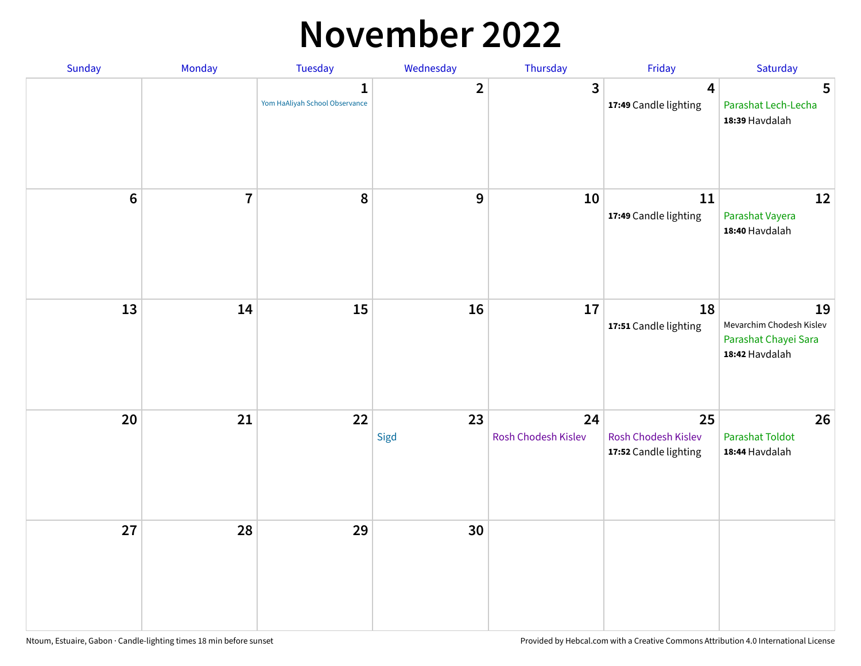### **November 2022**

| Sunday         | Monday         | <b>Tuesday</b>                                 | Wednesday        | Thursday                  | Friday                                             | Saturday                                                                 |
|----------------|----------------|------------------------------------------------|------------------|---------------------------|----------------------------------------------------|--------------------------------------------------------------------------|
|                |                | $\mathbf{1}$<br>Yom HaAliyah School Observance | $\overline{2}$   | $\mathbf{3}$              | $\overline{\mathbf{4}}$<br>17:49 Candle lighting   | 5<br>Parashat Lech-Lecha<br>18:39 Havdalah                               |
| $6\phantom{a}$ | $\overline{7}$ | 8                                              | $\boldsymbol{9}$ | 10                        | 11<br>17:49 Candle lighting                        | 12<br>Parashat Vayera<br>18:40 Havdalah                                  |
| 13             | 14             | 15                                             | 16               | 17                        | 18<br>17:51 Candle lighting                        | 19<br>Mevarchim Chodesh Kislev<br>Parashat Chayei Sara<br>18:42 Havdalah |
| 20             | 21             | 22                                             | 23<br>Sigd       | 24<br>Rosh Chodesh Kislev | 25<br>Rosh Chodesh Kislev<br>17:52 Candle lighting | 26<br><b>Parashat Toldot</b><br>18:44 Havdalah                           |
| 27             | 28             | 29                                             | 30               |                           |                                                    |                                                                          |